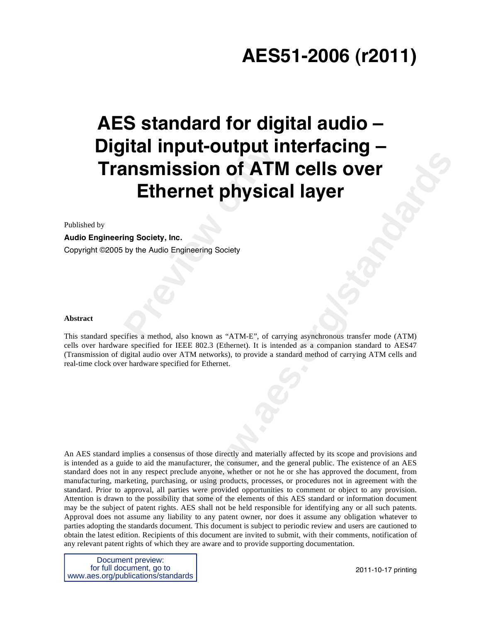# **AES51-2006 (r2011)**

# **Preview II ansmission of ATM<br><b>Ethernet physica**<br>
Fig Society, Inc.<br>
by the Audio Engineering Society<br>
Society<br> **Preview**<br>
Preview Addio Engineering Society<br>
Preview ATM-E<sup>x</sup>, of carr **AES standard for digital audio – Digital input-output interfacing – Transmission of ATM cells over Ethernet physical layer**

Published by

#### **Audio Engineering Society, Inc.**

Copyright ©2005 by the Audio Engineering Society

#### **Abstract**

This standard specifies a method, also known as "ATM-E", of carrying asynchronous transfer mode (ATM) cells over hardware specified for IEEE 802.3 (Ethernet). It is intended as a companion standard to AES47 (Transmission of digital audio over ATM networks), to provide a standard method of carrying ATM cells and real-time clock over hardware specified for Ethernet.

**Example 1 Second Layer**<br> **examples the physical layer**<br> **examples the physical layer**<br> **examples the property of carrying asynchronous transfer mode (ATM)**<br>
802.3 (Ednemet). It is insteaded as a companion standard to AES4 An AES standard implies a consensus of those directly and materially affected by its scope and provisions and is intended as a guide to aid the manufacturer, the consumer, and the general public. The existence of an AES standard does not in any respect preclude anyone, whether or not he or she has approved the document, from manufacturing, marketing, purchasing, or using products, processes, or procedures not in agreement with the standard. Prior to approval, all parties were provided opportunities to comment or object to any provision. Attention is drawn to the possibility that some of the elements of this AES standard or information document may be the subject of patent rights. AES shall not be held responsible for identifying any or all such patents. Approval does not assume any liability to any patent owner, nor does it assume any obligation whatever to parties adopting the standards document. This document is subject to periodic review and users are cautioned to obtain the latest edition. Recipients of this document are invited to submit, with their comments, notification of any relevant patent rights of which they are aware and to provide supporting documentation.

Document preview: for full document, go to www.aes.org/publications/standards

2011-10-17 printing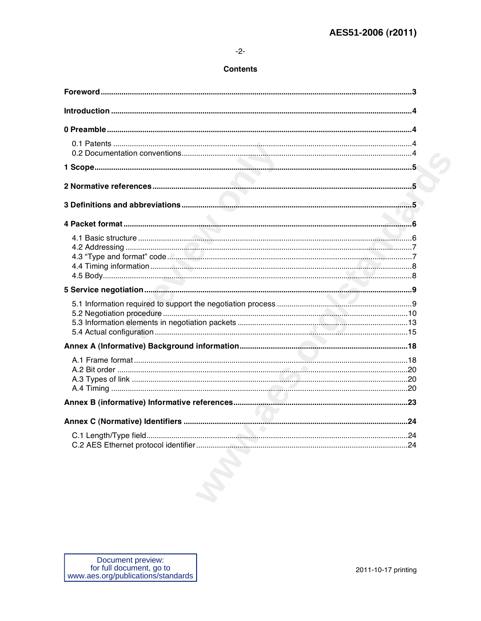### $-2-$

#### **Contents**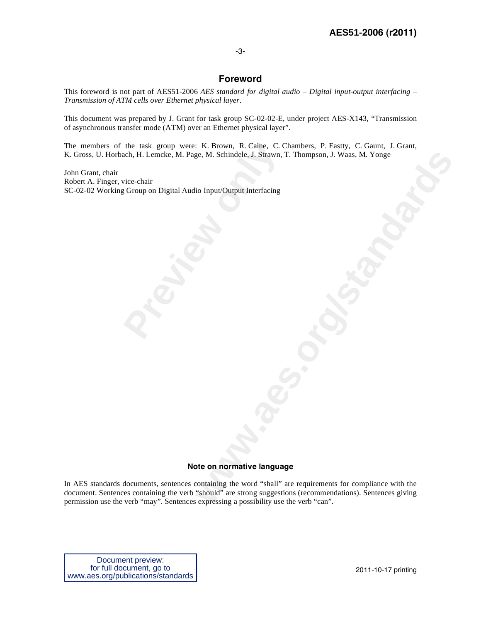#### -3-

## **Foreword**

This foreword is not part of AES51-2006 *AES standard for digital audio – Digital input-output interfacing – Transmission of ATM cells over Ethernet physical layer*.

This document was prepared by J. Grant for task group SC-02-02-E, under project AES-X143, "Transmission of asynchronous transfer mode (ATM) over an Ethernet physical layer".

The members of the task group were: K. Brown, R. Caine, C. Chambers, P. Eastty, C. Gaunt, J. Grant, K. Gross, U. Horbach, H. Lemcke, M. Page, M. Schindele, J. Strawn, T. Thompson, J. Waas, M. Yonge

the task group were: K. Brown, R. Caine, C. Cach, H. Lemcke, M. Page, M. Schindele, J. Strawn,<br>
vice-chair<br>
Group on Digital Audio Input/Output Interfacing<br>
experience on Digital Audio Input/Output Interfacing<br>
experience John Grant, chair Robert A. Finger, vice-chair SC-02-02 Working Group on Digital Audio Input/Output Interfacing

#### **Note on normative language**

**ye, M. Schindele, J. Strawn, T. Thompson, J. Waas, M. Yonge<br>bio Input/Output Interfacing<br>to the on normative language<br>organization of "Shall" are requirements for compliance with the<br>containing the word "Shall" are requir** In AES standards documents, sentences containing the word "shall" are requirements for compliance with the document. Sentences containing the verb "should" are strong suggestions (recommendations). Sentences giving permission use the verb "may". Sentences expressing a possibility use the verb "can".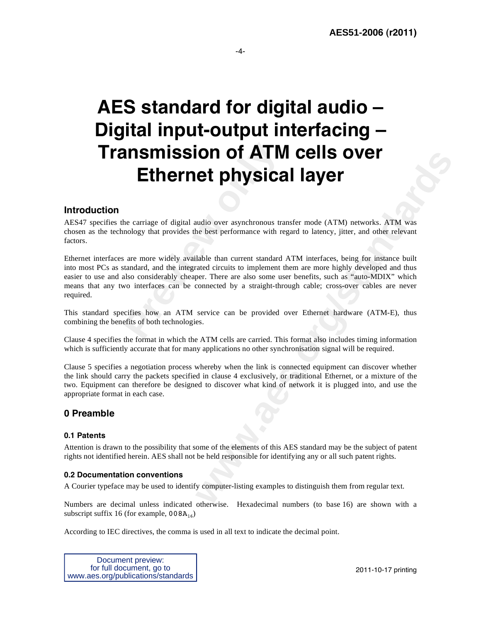-4-

# **AES standard for digital audio – Digital input-output interfacing – Transmission of ATM cells over Ethernet physical layer**

# **Introduction**

AES47 specifies the carriage of digital audio over asynchronous transfer mode (ATM) networks. ATM was chosen as the technology that provides the best performance with regard to latency, jitter, and other relevant factors.

**Previous Commission CF ATM**<br>**Preview CF ATM**<br>**Preview CF ATM**<br>**Previews** the best performance with respectively available than current standard<br>tandard, and the integrated circuits to implement tandard<br>also considerably **Example 16 THE CRIS OVER**<br> **WE CONSIGER INVERTIGATION**<br> **WE ALL CONSIGER INTERENT CONSIGERATION**<br>
Intervention over a<br>
standard consider the mean of the main of the mean of the mean of the mean of the<br>
rate of the mean cu Ethernet interfaces are more widely available than current standard ATM interfaces, being for instance built into most PCs as standard, and the integrated circuits to implement them are more highly developed and thus easier to use and also considerably cheaper. There are also some user benefits, such as "auto-MDIX" which means that any two interfaces can be connected by a straight-through cable; cross-over cables are never required.

This standard specifies how an ATM service can be provided over Ethernet hardware (ATM-E), thus combining the benefits of both technologies.

Clause 4 specifies the format in which the ATM cells are carried. This format also includes timing information which is sufficiently accurate that for many applications no other synchronisation signal will be required.

Clause 5 specifies a negotiation process whereby when the link is connected equipment can discover whether the link should carry the packets specified in clause 4 exclusively, or traditional Ethernet, or a mixture of the two. Equipment can therefore be designed to discover what kind of network it is plugged into, and use the appropriate format in each case.

# **0 Preamble**

#### **0.1 Patents**

Attention is drawn to the possibility that some of the elements of this AES standard may be the subject of patent rights not identified herein. AES shall not be held responsible for identifying any or all such patent rights.

#### **0.2 Documentation conventions**

A Courier typeface may be used to identify computer-listing examples to distinguish them from regular text.

Numbers are decimal unless indicated otherwise. Hexadecimal numbers (to base 16) are shown with a subscript suffix 16 (for example,  $008A_{16}$ )

According to IEC directives, the comma is used in all text to indicate the decimal point.

Document preview: for full document, go to www.aes.org/publications/standards

2011-10-17 printing